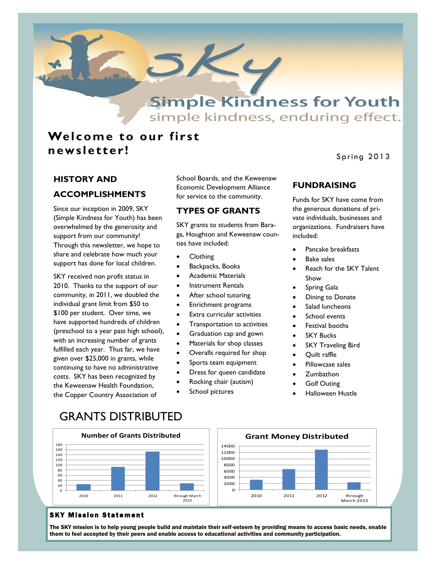

simple kindness, enduring effect.

# **Welcome to our first n ews lett er !**

### Spring 2013

# **HISTORY AND ACCOMPLISHMENTS**

Since our inception in 2009, SKY (Simple Kindness for Youth) has been overwhelmed by the generosity and support from our community! Through this newsletter, we hope to share and celebrate how much your support has done for local children.

SKY received non profit status in 2010. Thanks to the support of our community, in 2011, we doubled the individual grant limit from \$50 to \$100 per student. Over time, we have supported hundreds of children (preschool to a year past high school), with an increasing number of grants fulfilled each year. Thus far, we have given over \$25,000 in grants, while continuing to have no administrative costs. SKY has been recognized by the Keweenaw Health Foundation, the Copper Country Association of

School Boards, and the Keweenaw Economic Development Alliance for service to the community.

### **TYPES OF GRANTS**

SKY grants to students from Baraga, Houghton and Keweenaw counties have included:

- **Clothing**
- Backpacks, Books
- Academic Materials
- Instrument Rentals
- After school tutoring
- Enrichment programs
- Extra curricular activities
- Transportation to activities
- Graduation cap and gown
- Materials for shop classes
- Overalls required for shop
- Sports team equipment
- Dress for queen candidate
- Rocking chair (autism)
- School pictures

## **FUNDRAISING**

Funds for SKY have come from the generous donations of private individuals, businesses and organizations. Fundraisers have included:

- Pancake breakfasts
- Bake sales
- Reach for the SKY Talent Show
- Spring Gala
- Dining to Donate
- Salad luncheons
- School events
- Festival booths
- SKY Bucks
- SKY Traveling Bird
- Quilt raffle
- Pillowcase sales
- **Zumbathon**
- Golf Outing
- Halloween Hustle

March 2013

# GRANTS DISTRIBUTED



### **SKY Mission Statement**

The SKY mission is to help young people build and maintain their self-esteem by providing means to access basic needs, enable them to feel accepted by their peers and enable access to educational activities and community participation.